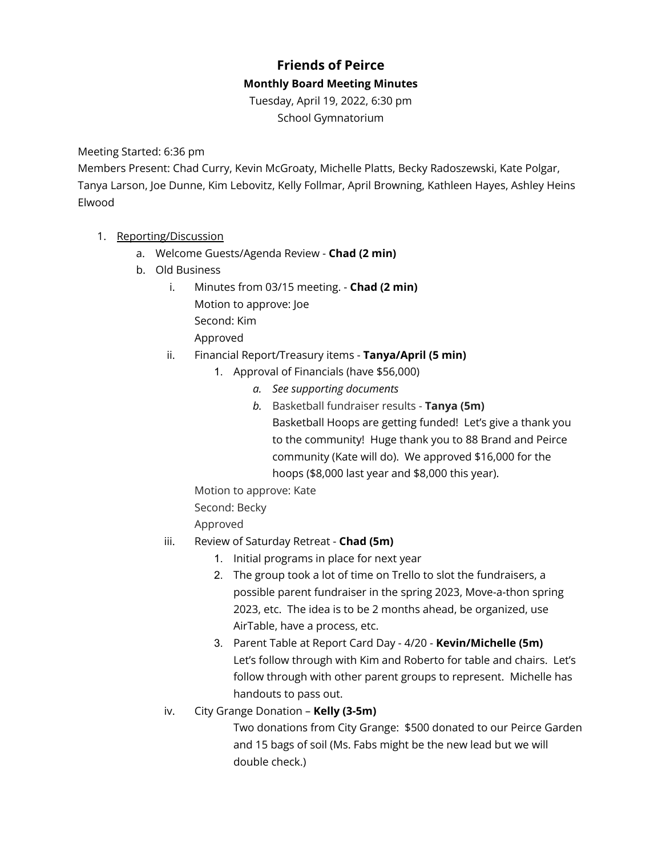## **Friends of Peirce Monthly Board Meeting Minutes**

Tuesday, April 19, 2022, 6:30 pm School Gymnatorium

Meeting Started: 6:36 pm

Members Present: Chad Curry, Kevin McGroaty, Michelle Platts, Becky Radoszewski, Kate Polgar, Tanya Larson, Joe Dunne, Kim Lebovitz, Kelly Follmar, April Browning, Kathleen Hayes, Ashley Heins Elwood

- 1. Reporting/Discussion
	- a. Welcome Guests/Agenda Review **Chad (2 min)**
	- b. Old Business
		- i. Minutes from 03/15 meeting. **Chad (2 min)** Motion to approve: Joe Second: Kim Approved
		- ii. Financial Report/Treasury items **Tanya/April (5 min)**
			- 1. Approval of Financials (have \$56,000)
				- *a. See supporting documents*
				- *b.* Basketball fundraiser results **Tanya (5m)** Basketball Hoops are getting funded! Let's give a thank you to the community! Huge thank you to 88 Brand and Peirce community (Kate will do). We approved \$16,000 for the hoops (\$8,000 last year and \$8,000 this year).

Motion to approve: Kate

Second: Becky

Approved

- iii. Review of Saturday Retreat **Chad (5m)**
	- 1. Initial programs in place for next year
	- 2. The group took a lot of time on Trello to slot the fundraisers, a possible parent fundraiser in the spring 2023, Move-a-thon spring 2023, etc. The idea is to be 2 months ahead, be organized, use AirTable, have a process, etc.
	- 3. Parent Table at Report Card Day 4/20 **Kevin/Michelle (5m)** Let's follow through with Kim and Roberto for table and chairs. Let's follow through with other parent groups to represent. Michelle has handouts to pass out.
- iv. City Grange Donation **Kelly (3-5m)**

Two donations from City Grange: \$500 donated to our Peirce Garden and 15 bags of soil (Ms. Fabs might be the new lead but we will double check.)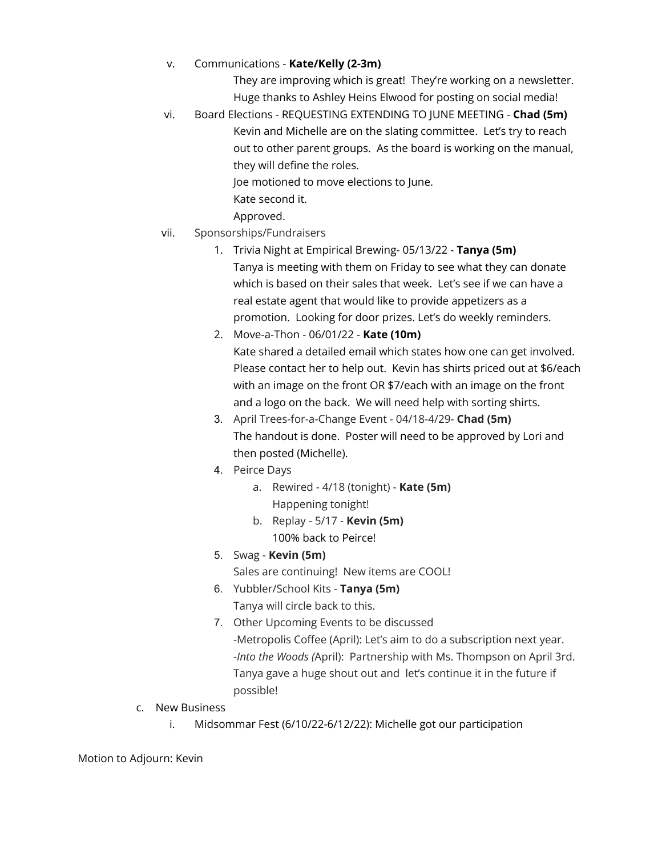## v. Communications - **Kate/Kelly (2-3m)**

They are improving which is great! They're working on a newsletter. Huge thanks to Ashley Heins Elwood for posting on social media!

vi. Board Elections - REQUESTING EXTENDING TO JUNE MEETING - **Chad (5m)** Kevin and Michelle are on the slating committee. Let's try to reach out to other parent groups. As the board is working on the manual, they will define the roles.

Joe motioned to move elections to June.

Kate second it.

Approved.

- vii. Sponsorships/Fundraisers
	- 1. Trivia Night at Empirical Brewing- 05/13/22 **Tanya (5m)** Tanya is meeting with them on Friday to see what they can donate which is based on their sales that week. Let's see if we can have a real estate agent that would like to provide appetizers as a promotion. Looking for door prizes. Let's do weekly reminders.
	- 2. Move-a-Thon 06/01/22 **Kate (10m)** Kate shared a detailed email which states how one can get involved. Please contact her to help out. Kevin has shirts priced out at \$6/each with an image on the front OR \$7/each with an image on the front and a logo on the back. We will need help with sorting shirts.
	- 3. April Trees-for-a-Change Event 04/18-4/29- **Chad (5m)** The handout is done. Poster will need to be approved by Lori and then posted (Michelle).
	- 4. Peirce Days
		- a. Rewired 4/18 (tonight) **Kate (5m)** Happening tonight!
		- b. Replay 5/17 **Kevin (5m)** 100% back to Peirce!
	- 5. Swag **Kevin (5m)**

Sales are continuing! New items are COOL!

- 6. Yubbler/School Kits **Tanya (5m)** Tanya will circle back to this.
- 7. Other Upcoming Events to be discussed -Metropolis Coffee (April): Let's aim to do a subscription next year. -*Into the Woods (*April): Partnership with Ms. Thompson on April 3rd. Tanya gave a huge shout out and let's continue it in the future if possible!
- c. New Business
	- i. Midsommar Fest (6/10/22-6/12/22): Michelle got our participation

Motion to Adjourn: Kevin